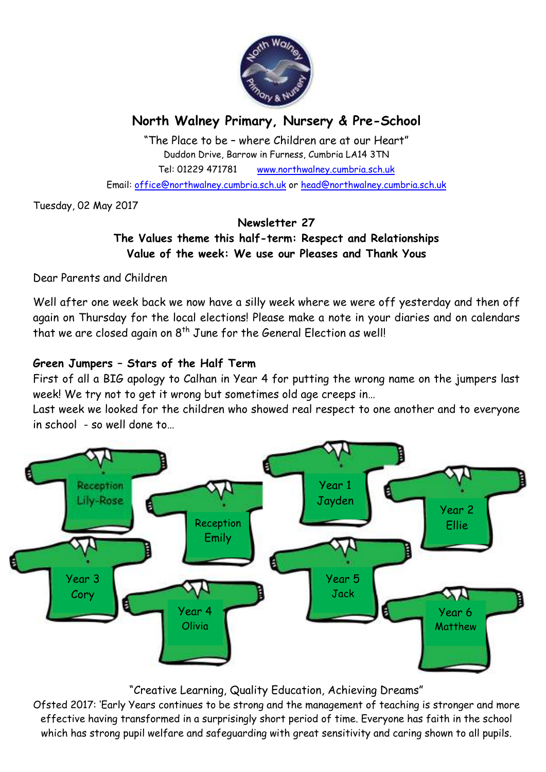

# **North Walney Primary, Nursery & Pre-School**

"The Place to be – where Children are at our Heart" Duddon Drive, Barrow in Furness, Cumbria LA14 3TN Tel: 01229 471781 www.northwalney.cumbria.sch.uk

Email: office@northwalney.cumbria.sch.uk or head@northwalney.cumbria.sch.uk

Tuesday, 02 May 2017

### **Newsletter 27 The Values theme this half-term: Respect and Relationships Value of the week: We use our Pleases and Thank Yous**

Dear Parents and Children

Well after one week back we now have a silly week where we were off yesterday and then off again on Thursday for the local elections! Please make a note in your diaries and on calendars that we are closed again on  $8<sup>th</sup>$  June for the General Election as well!

### **Green Jumpers – Stars of the Half Term**

First of all a BIG apology to Calhan in Year 4 for putting the wrong name on the jumpers last week! We try not to get it wrong but sometimes old age creeps in…

Last week we looked for the children who showed real respect to one another and to everyone in school - so well done to…



### "Creative Learning, Quality Education, Achieving Dreams"

Ofsted 2017: 'Early Years continues to be strong and the management of teaching is stronger and more effective having transformed in a surprisingly short period of time. Everyone has faith in the school which has strong pupil welfare and safeguarding with great sensitivity and caring shown to all pupils.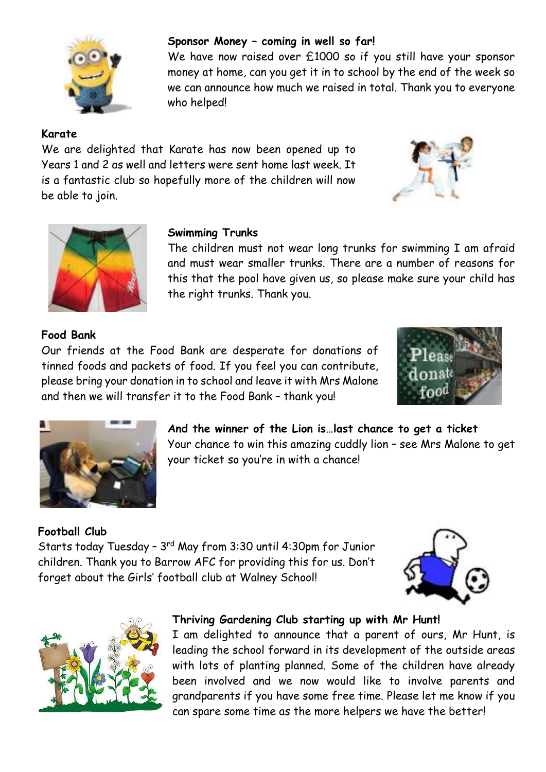

#### **Sponsor Money – coming in well so far!**

We have now raised over £1000 so if you still have your sponsor money at home, can you get it in to school by the end of the week so we can announce how much we raised in total. Thank you to everyone who helped!

The children must not wear long trunks for swimming I am afraid and must wear smaller trunks. There are a number of reasons for this that the pool have given us, so please make sure your child has

### **Karate**

We are delighted that Karate has now been opened up to Years 1 and 2 as well and letters were sent home last week. It is a fantastic club so hopefully more of the children will now be able to join.

**Swimming Trunks**

the right trunks. Thank you.





### **Food Bank**

Our friends at the Food Bank are desperate for donations of tinned foods and packets of food. If you feel you can contribute, please bring your donation in to school and leave it with Mrs Malone and then we will transfer it to the Food Bank – thank you!





**And the winner of the Lion is…last chance to get a ticket** Your chance to win this amazing cuddly lion – see Mrs Malone to get your ticket so you're in with a chance!

## **Football Club** Starts today Tuesday – 3rd May from 3:30 until 4:30pm for Junior children. Thank you to Barrow AFC for providing this for us. Don't forget about the Girls' football club at Walney School!





### **Thriving Gardening Club starting up with Mr Hunt!**

I am delighted to announce that a parent of ours, Mr Hunt, is leading the school forward in its development of the outside areas with lots of planting planned. Some of the children have already been involved and we now would like to involve parents and grandparents if you have some free time. Please let me know if you can spare some time as the more helpers we have the better!